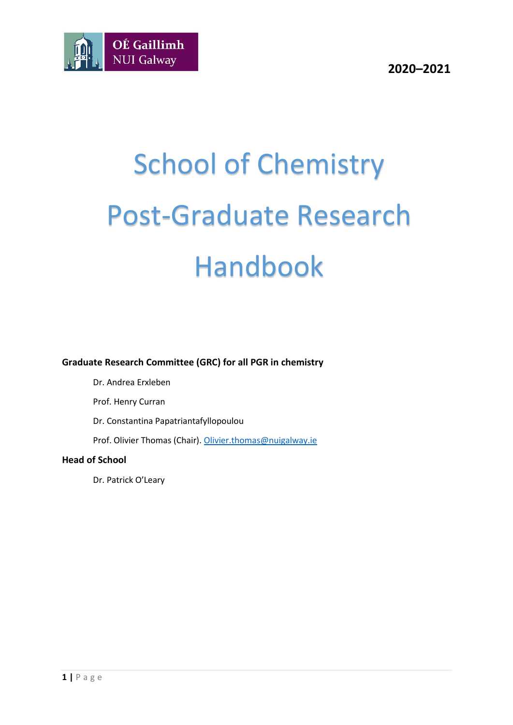

# School of Chemistry Post-Graduate Research Handbook

**Graduate Research Committee (GRC) for all PGR in chemistry**

Dr. Andrea Erxleben

Prof. Henry Curran

Dr. Constantina Papatriantafyllopoulou

Prof. Olivier Thomas (Chair)[. Olivier.thomas@nuigalway.ie](mailto:Olivier.thomas@nuigalway.ie)

#### **Head of School**

Dr. Patrick O'Leary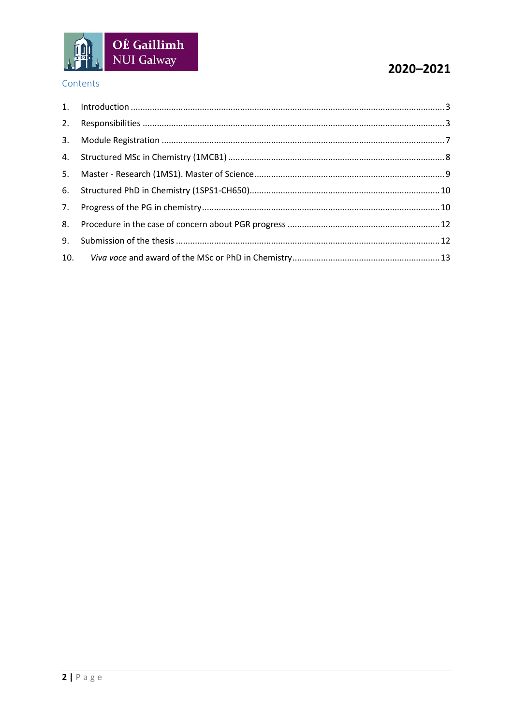

#### Contents

## 2020-2021

| 9. |  |
|----|--|
|    |  |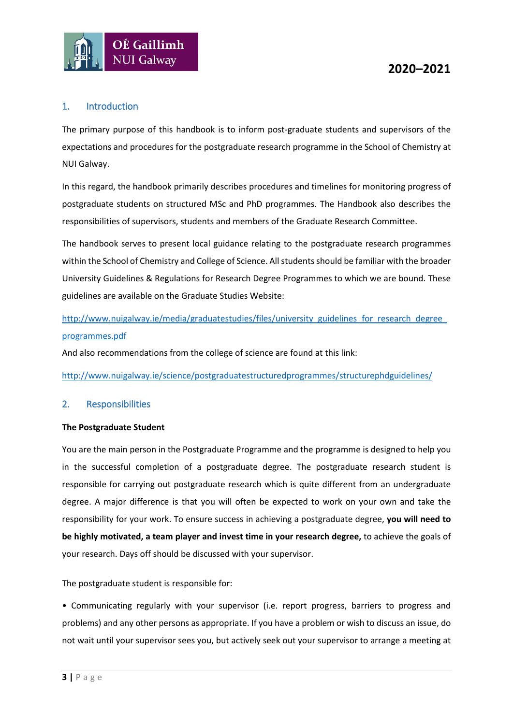

#### <span id="page-2-0"></span>1. Introduction

The primary purpose of this handbook is to inform post-graduate students and supervisors of the expectations and procedures for the postgraduate research programme in the School of Chemistry at NUI Galway.

In this regard, the handbook primarily describes procedures and timelines for monitoring progress of postgraduate students on structured MSc and PhD programmes. The Handbook also describes the responsibilities of supervisors, students and members of the Graduate Research Committee.

The handbook serves to present local guidance relating to the postgraduate research programmes within the School of Chemistry and College of Science. All students should be familiar with the broader University Guidelines & Regulations for Research Degree Programmes to which we are bound. These guidelines are available on the Graduate Studies Website:

http://www.nuigalway.ie/media/graduatestudies/files/university\_guidelines\_for\_research\_degree [programmes.pdf](http://www.nuigalway.ie/media/graduatestudies/files/university_guidelines_for_research_degree_programmes.pdf)

And also recommendations from the college of science are found at this link:

<http://www.nuigalway.ie/science/postgraduatestructuredprogrammes/structurephdguidelines/>

#### <span id="page-2-1"></span>2. Responsibilities

#### **The Postgraduate Student**

You are the main person in the Postgraduate Programme and the programme is designed to help you in the successful completion of a postgraduate degree. The postgraduate research student is responsible for carrying out postgraduate research which is quite different from an undergraduate degree. A major difference is that you will often be expected to work on your own and take the responsibility for your work. To ensure success in achieving a postgraduate degree, **you will need to be highly motivated, a team player and invest time in your research degree,** to achieve the goals of your research. Days off should be discussed with your supervisor.

The postgraduate student is responsible for:

• Communicating regularly with your supervisor (i.e. report progress, barriers to progress and problems) and any other persons as appropriate. If you have a problem or wish to discuss an issue, do not wait until your supervisor sees you, but actively seek out your supervisor to arrange a meeting at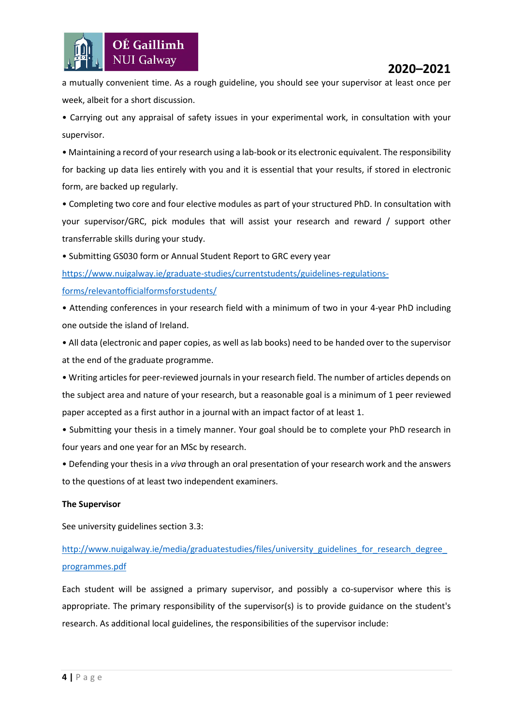

a mutually convenient time. As a rough guideline, you should see your supervisor at least once per week, albeit for a short discussion.

• Carrying out any appraisal of safety issues in your experimental work, in consultation with your supervisor.

• Maintaining a record of your research using a lab-book or its electronic equivalent. The responsibility for backing up data lies entirely with you and it is essential that your results, if stored in electronic form, are backed up regularly.

• Completing two core and four elective modules as part of your structured PhD. In consultation with your supervisor/GRC, pick modules that will assist your research and reward / support other transferrable skills during your study.

• Submitting GS030 form or Annual Student Report to GRC every year

[https://www.nuigalway.ie/graduate-studies/currentstudents/guidelines-regulations](https://www.nuigalway.ie/graduate-studies/currentstudents/guidelines-regulations-forms/relevantofficialformsforstudents/)[forms/relevantofficialformsforstudents/](https://www.nuigalway.ie/graduate-studies/currentstudents/guidelines-regulations-forms/relevantofficialformsforstudents/)

• Attending conferences in your research field with a minimum of two in your 4-year PhD including one outside the island of Ireland.

• All data (electronic and paper copies, as well as lab books) need to be handed over to the supervisor at the end of the graduate programme.

• Writing articles for peer-reviewed journals in your research field. The number of articles depends on the subject area and nature of your research, but a reasonable goal is a minimum of 1 peer reviewed paper accepted as a first author in a journal with an impact factor of at least 1.

• Submitting your thesis in a timely manner. Your goal should be to complete your PhD research in four years and one year for an MSc by research.

• Defending your thesis in a *viva* through an oral presentation of your research work and the answers to the questions of at least two independent examiners.

#### **The Supervisor**

See university guidelines section 3.3:

## http://www.nuigalway.ie/media/graduatestudies/files/university\_guidelines\_for\_research\_degree [programmes.pdf](http://www.nuigalway.ie/media/graduatestudies/files/university_guidelines_for_research_degree_programmes.pdf)

Each student will be assigned a primary supervisor, and possibly a co-supervisor where this is appropriate. The primary responsibility of the supervisor(s) is to provide guidance on the student's research. As additional local guidelines, the responsibilities of the supervisor include: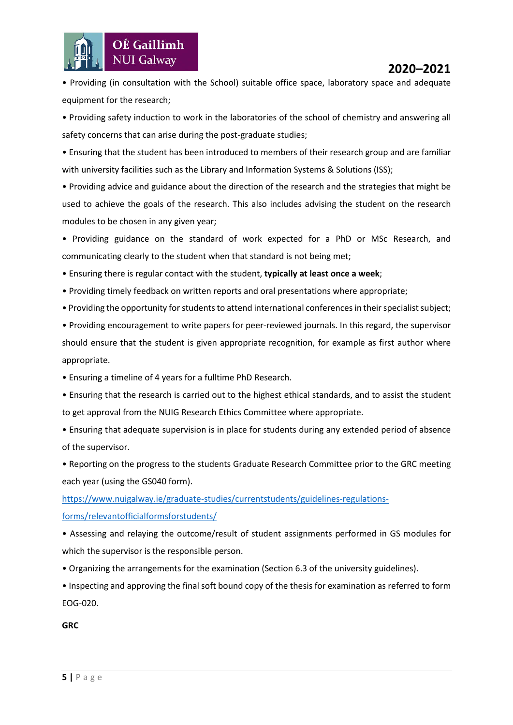

• Providing (in consultation with the School) suitable office space, laboratory space and adequate equipment for the research;

• Providing safety induction to work in the laboratories of the school of chemistry and answering all safety concerns that can arise during the post-graduate studies;

• Ensuring that the student has been introduced to members of their research group and are familiar with university facilities such as the Library and Information Systems & Solutions (ISS);

• Providing advice and guidance about the direction of the research and the strategies that might be used to achieve the goals of the research. This also includes advising the student on the research modules to be chosen in any given year;

• Providing guidance on the standard of work expected for a PhD or MSc Research, and communicating clearly to the student when that standard is not being met;

• Ensuring there is regular contact with the student, **typically at least once a week**;

- Providing timely feedback on written reports and oral presentations where appropriate;
- Providing the opportunity for students to attend international conferences in their specialistsubject;

• Providing encouragement to write papers for peer-reviewed journals. In this regard, the supervisor should ensure that the student is given appropriate recognition, for example as first author where appropriate.

- Ensuring a timeline of 4 years for a fulltime PhD Research.
- Ensuring that the research is carried out to the highest ethical standards, and to assist the student to get approval from the NUIG Research Ethics Committee where appropriate.
- Ensuring that adequate supervision is in place for students during any extended period of absence of the supervisor.
- Reporting on the progress to the students Graduate Research Committee prior to the GRC meeting each year (using the GS040 form).

[https://www.nuigalway.ie/graduate-studies/currentstudents/guidelines-regulations](https://www.nuigalway.ie/graduate-studies/currentstudents/guidelines-regulations-forms/relevantofficialformsforstudents/)[forms/relevantofficialformsforstudents/](https://www.nuigalway.ie/graduate-studies/currentstudents/guidelines-regulations-forms/relevantofficialformsforstudents/)

• Assessing and relaying the outcome/result of student assignments performed in GS modules for which the supervisor is the responsible person.

- Organizing the arrangements for the examination (Section 6.3 of the university guidelines).
- Inspecting and approving the final soft bound copy of the thesis for examination as referred to form EOG-020.

**GRC**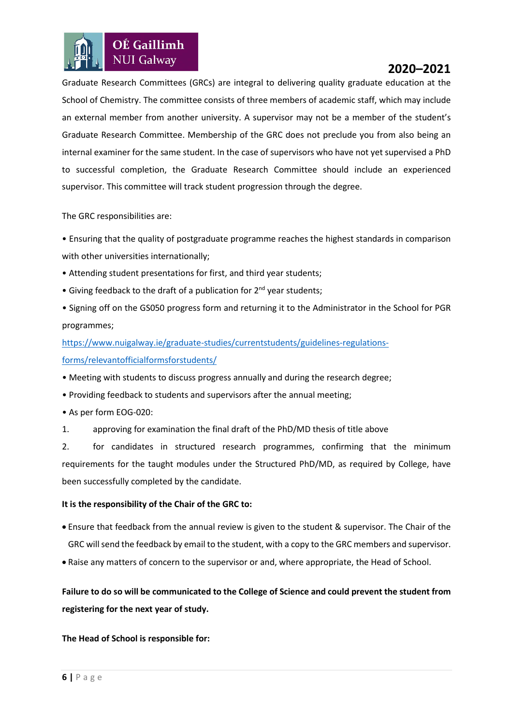

Graduate Research Committees (GRCs) are integral to delivering quality graduate education at the School of Chemistry. The committee consists of three members of academic staff, which may include an external member from another university. A supervisor may not be a member of the student's Graduate Research Committee. Membership of the GRC does not preclude you from also being an internal examiner for the same student. In the case of supervisors who have not yet supervised a PhD to successful completion, the Graduate Research Committee should include an experienced supervisor. This committee will track student progression through the degree.

The GRC responsibilities are:

• Ensuring that the quality of postgraduate programme reaches the highest standards in comparison with other universities internationally;

- Attending student presentations for first, and third year students;
- Giving feedback to the draft of a publication for 2<sup>nd</sup> year students;
- Signing off on the GS050 progress form and returning it to the Administrator in the School for PGR programmes;

[https://www.nuigalway.ie/graduate-studies/currentstudents/guidelines-regulations-](https://www.nuigalway.ie/graduate-studies/currentstudents/guidelines-regulations-forms/relevantofficialformsforstudents/)

#### [forms/relevantofficialformsforstudents/](https://www.nuigalway.ie/graduate-studies/currentstudents/guidelines-regulations-forms/relevantofficialformsforstudents/)

- Meeting with students to discuss progress annually and during the research degree;
- Providing feedback to students and supervisors after the annual meeting;
- As per form EOG-020:
- 1. approving for examination the final draft of the PhD/MD thesis of title above

2. for candidates in structured research programmes, confirming that the minimum requirements for the taught modules under the Structured PhD/MD, as required by College, have been successfully completed by the candidate.

#### **It is the responsibility of the Chair of the GRC to:**

- Ensure that feedback from the annual review is given to the student & supervisor. The Chair of the GRC will send the feedback by email to the student, with a copy to the GRC members and supervisor.
- Raise any matters of concern to the supervisor or and, where appropriate, the Head of School.

**Failure to do so will be communicated to the College of Science and could prevent the student from registering for the next year of study.**

#### **The Head of School is responsible for:**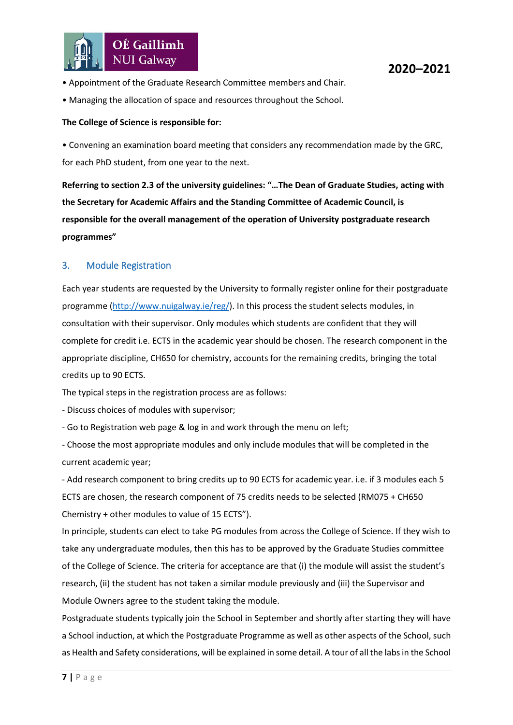

- Appointment of the Graduate Research Committee members and Chair.
- Managing the allocation of space and resources throughout the School.

#### **The College of Science is responsible for:**

• Convening an examination board meeting that considers any recommendation made by the GRC, for each PhD student, from one year to the next.

**Referring to section 2.3 of the university guidelines: "…The Dean of Graduate Studies, acting with the Secretary for Academic Affairs and the Standing Committee of Academic Council, is responsible for the overall management of the operation of University postgraduate research programmes"**

#### <span id="page-6-0"></span>3. Module Registration

Each year students are requested by the University to formally register online for their postgraduate programme [\(http://www.nuigalway.ie/reg/\)](http://www.nuigalway.ie/reg/reghelp_home.html/newstudentpostgrad/). In this process the student selects modules, in consultation with their supervisor. Only modules which students are confident that they will complete for credit i.e. ECTS in the academic year should be chosen. The research component in the appropriate discipline, CH650 for chemistry, accounts for the remaining credits, bringing the total credits up to 90 ECTS.

The typical steps in the registration process are as follows:

- Discuss choices of modules with supervisor;

- Go to Registration web page & log in and work through the menu on left;

- Choose the most appropriate modules and only include modules that will be completed in the current academic year;

- Add research component to bring credits up to 90 ECTS for academic year. i.e. if 3 modules each 5 ECTS are chosen, the research component of 75 credits needs to be selected (RM075 + CH650 Chemistry + other modules to value of 15 ECTS").

In principle, students can elect to take PG modules from across the College of Science. If they wish to take any undergraduate modules, then this has to be approved by the Graduate Studies committee of the College of Science. The criteria for acceptance are that (i) the module will assist the student's research, (ii) the student has not taken a similar module previously and (iii) the Supervisor and Module Owners agree to the student taking the module.

Postgraduate students typically join the School in September and shortly after starting they will have a School induction, at which the Postgraduate Programme as well as other aspects of the School, such as Health and Safety considerations, will be explained in some detail. A tour of all the labs in the School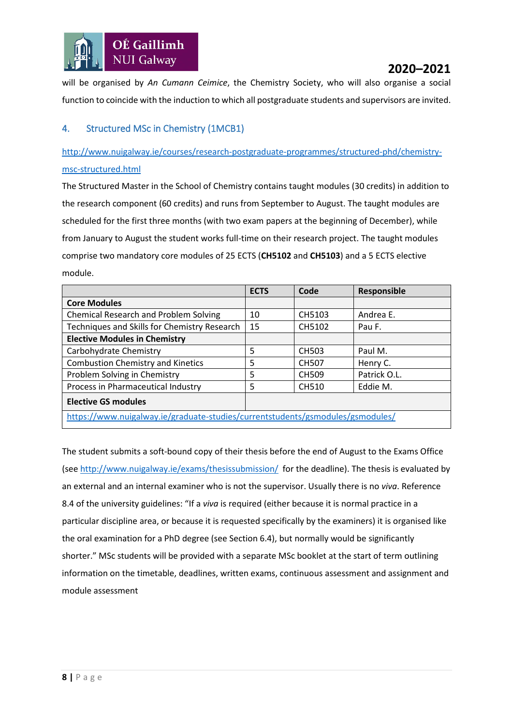

will be organised by *An Cumann Ceimice*, the Chemistry Society, who will also organise a social function to coincide with the induction to which all postgraduate students and supervisors are invited.

#### <span id="page-7-0"></span>4. Structured MSc in Chemistry (1MCB1)

[http://www.nuigalway.ie/courses/research-postgraduate-programmes/structured-phd/chemistry](http://www.nuigalway.ie/courses/research-postgraduate-programmes/structured-phd/chemistry-msc-structured.html)[msc-structured.html](http://www.nuigalway.ie/courses/research-postgraduate-programmes/structured-phd/chemistry-msc-structured.html)

The Structured Master in the School of Chemistry contains taught modules (30 credits) in addition to the research component (60 credits) and runs from September to August. The taught modules are scheduled for the first three months (with two exam papers at the beginning of December), while from January to August the student works full-time on their research project. The taught modules comprise two mandatory core modules of 25 ECTS (**CH5102** and **CH5103**) and a 5 ECTS elective module.

|                                                                                | <b>ECTS</b> | Code         | <b>Responsible</b> |  |  |
|--------------------------------------------------------------------------------|-------------|--------------|--------------------|--|--|
| <b>Core Modules</b>                                                            |             |              |                    |  |  |
| <b>Chemical Research and Problem Solving</b>                                   | 10          | CH5103       | Andrea E.          |  |  |
| Techniques and Skills for Chemistry Research                                   | 15          | CH5102       | Pau F.             |  |  |
| <b>Elective Modules in Chemistry</b>                                           |             |              |                    |  |  |
| Carbohydrate Chemistry                                                         | 5           | <b>CH503</b> | Paul M.            |  |  |
| <b>Combustion Chemistry and Kinetics</b>                                       | 5           | <b>CH507</b> | Henry C.           |  |  |
| Problem Solving in Chemistry                                                   | 5           | <b>CH509</b> | Patrick O.L.       |  |  |
| Process in Pharmaceutical Industry                                             | 5           | CH510        | Eddie M.           |  |  |
| <b>Elective GS modules</b>                                                     |             |              |                    |  |  |
| https://www.nuigalway.ie/graduate-studies/currentstudents/gsmodules/gsmodules/ |             |              |                    |  |  |

The student submits a soft-bound copy of their thesis before the end of August to the Exams Office (see<http://www.nuigalway.ie/exams/thesissubmission/> for the deadline). The thesis is evaluated by an external and an internal examiner who is not the supervisor. Usually there is no *viva*. Reference 8.4 of the university guidelines: "If a *viva* is required (either because it is normal practice in a particular discipline area, or because it is requested specifically by the examiners) it is organised like the oral examination for a PhD degree (see Section 6.4), but normally would be significantly shorter." MSc students will be provided with a separate MSc booklet at the start of term outlining information on the timetable, deadlines, written exams, continuous assessment and assignment and module assessment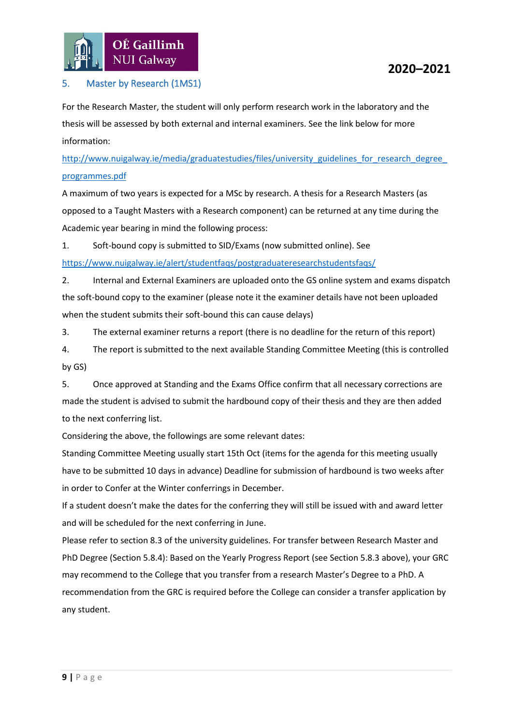

#### <span id="page-8-0"></span>5. Master by Research (1MS1)

For the Research Master, the student will only perform research work in the laboratory and the thesis will be assessed by both external and internal examiners. See the link below for more information:

[http://www.nuigalway.ie/media/graduatestudies/files/university\\_guidelines\\_for\\_research\\_degree\\_](http://www.nuigalway.ie/media/graduatestudies/files/university_guidelines_for_research_degree_programmes.pdf) [programmes.pdf](http://www.nuigalway.ie/media/graduatestudies/files/university_guidelines_for_research_degree_programmes.pdf)

A maximum of two years is expected for a MSc by research. A thesis for a Research Masters (as opposed to a Taught Masters with a Research component) can be returned at any time during the Academic year bearing in mind the following process:

1. Soft-bound copy is submitted to SID/Exams (now submitted online). See

<https://www.nuigalway.ie/alert/studentfaqs/postgraduateresearchstudentsfaqs/>

2. Internal and External Examiners are uploaded onto the GS online system and exams dispatch the soft-bound copy to the examiner (please note it the examiner details have not been uploaded when the student submits their soft-bound this can cause delays)

3. The external examiner returns a report (there is no deadline for the return of this report)

4. The report is submitted to the next available Standing Committee Meeting (this is controlled by GS)

5. Once approved at Standing and the Exams Office confirm that all necessary corrections are made the student is advised to submit the hardbound copy of their thesis and they are then added to the next conferring list.

Considering the above, the followings are some relevant dates:

Standing Committee Meeting usually start 15th Oct (items for the agenda for this meeting usually have to be submitted 10 days in advance) Deadline for submission of hardbound is two weeks after in order to Confer at the Winter conferrings in December.

If a student doesn't make the dates for the conferring they will still be issued with and award letter and will be scheduled for the next conferring in June.

Please refer to section 8.3 of the university guidelines. For transfer between Research Master and PhD Degree (Section 5.8.4): Based on the Yearly Progress Report (see Section 5.8.3 above), your GRC may recommend to the College that you transfer from a research Master's Degree to a PhD. A recommendation from the GRC is required before the College can consider a transfer application by any student.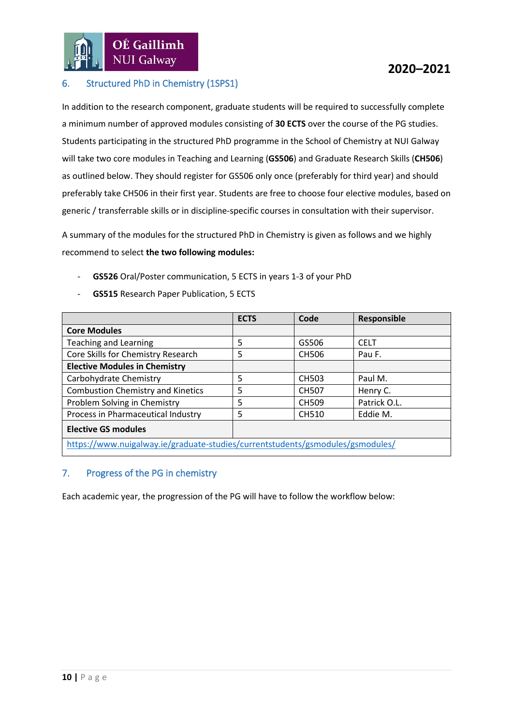#### <span id="page-9-0"></span>6. Structured PhD in Chemistry (1SPS1)

In addition to the research component, graduate students will be required to successfully complete a minimum number of approved modules consisting of **30 ECTS** over the course of the PG studies. Students participating in the structured PhD programme in the School of Chemistry at NUI Galway will take two core modules in Teaching and Learning (**GS506**) and Graduate Research Skills (**CH506**) as outlined below. They should register for GS506 only once (preferably for third year) and should preferably take CH506 in their first year. Students are free to choose four elective modules, based on generic / transferrable skills or in discipline-specific courses in consultation with their supervisor.

A summary of the modules for the structured PhD in Chemistry is given as follows and we highly recommend to select **the two following modules:**

- **GS526** Oral/Poster communication, 5 ECTS in years 1-3 of your PhD
- GS515 Research Paper Publication, 5 ECTS

|                                                                                | <b>ECTS</b> | Code         | Responsible  |  |  |
|--------------------------------------------------------------------------------|-------------|--------------|--------------|--|--|
| <b>Core Modules</b>                                                            |             |              |              |  |  |
| <b>Teaching and Learning</b>                                                   | 5           | GS506        | <b>CELT</b>  |  |  |
| Core Skills for Chemistry Research                                             | 5           | <b>CH506</b> | Pau F.       |  |  |
| <b>Elective Modules in Chemistry</b>                                           |             |              |              |  |  |
| Carbohydrate Chemistry                                                         | 5           | CH503        | Paul M.      |  |  |
| <b>Combustion Chemistry and Kinetics</b>                                       | 5           | <b>CH507</b> | Henry C.     |  |  |
| Problem Solving in Chemistry                                                   | 5           | <b>CH509</b> | Patrick O.L. |  |  |
| Process in Pharmaceutical Industry                                             | 5           | CH510        | Eddie M.     |  |  |
| <b>Elective GS modules</b>                                                     |             |              |              |  |  |
| https://www.nuigalway.ie/graduate-studies/currentstudents/gsmodules/gsmodules/ |             |              |              |  |  |

## <span id="page-9-1"></span>7. Progress of the PG in chemistry

Each academic year, the progression of the PG will have to follow the workflow below: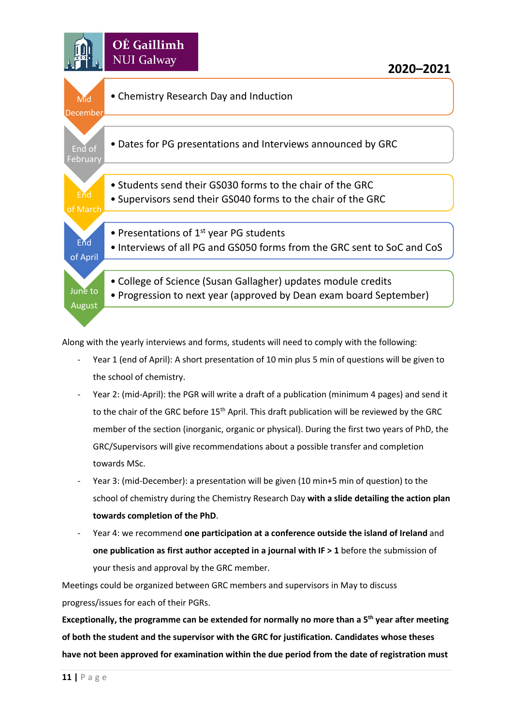

Along with the yearly interviews and forms, students will need to comply with the following:

- Year 1 (end of April): A short presentation of 10 min plus 5 min of questions will be given to the school of chemistry.
- Year 2: (mid-April): the PGR will write a draft of a publication (minimum 4 pages) and send it to the chair of the GRC before 15<sup>th</sup> April. This draft publication will be reviewed by the GRC member of the section (inorganic, organic or physical). During the first two years of PhD, the GRC/Supervisors will give recommendations about a possible transfer and completion towards MSc.
- Year 3: (mid-December): a presentation will be given (10 min+5 min of question) to the school of chemistry during the Chemistry Research Day **with a slide detailing the action plan towards completion of the PhD**.
- Year 4: we recommend **one participation at a conference outside the island of Ireland** and **one publication as first author accepted in a journal with IF > 1** before the submission of your thesis and approval by the GRC member.

Meetings could be organized between GRC members and supervisors in May to discuss progress/issues for each of their PGRs.

**Exceptionally, the programme can be extended for normally no more than a 5th year after meeting of both the student and the supervisor with the GRC for justification. Candidates whose theses have not been approved for examination within the due period from the date of registration must**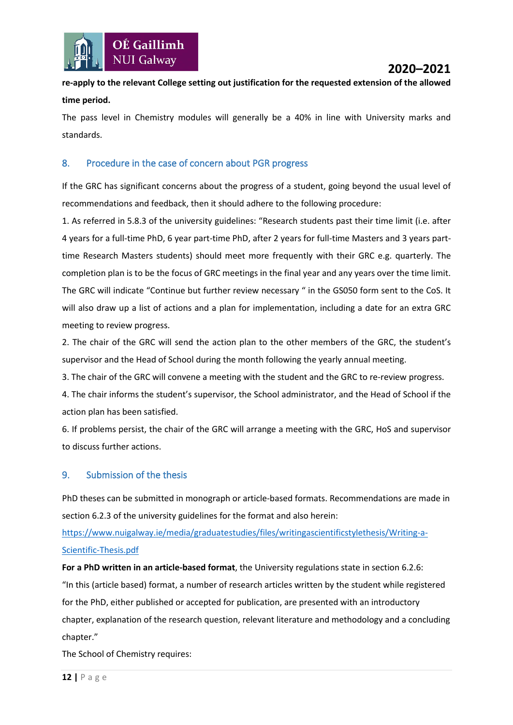

## **re-apply to the relevant College setting out justification for the requested extension of the allowed time period.**

The pass level in Chemistry modules will generally be a 40% in line with University marks and standards.

#### <span id="page-11-0"></span>8. Procedure in the case of concern about PGR progress

If the GRC has significant concerns about the progress of a student, going beyond the usual level of recommendations and feedback, then it should adhere to the following procedure:

1. As referred in 5.8.3 of the university guidelines: "Research students past their time limit (i.e. after 4 years for a full-time PhD, 6 year part-time PhD, after 2 years for full-time Masters and 3 years parttime Research Masters students) should meet more frequently with their GRC e.g. quarterly. The completion plan is to be the focus of GRC meetings in the final year and any years over the time limit. The GRC will indicate "Continue but further review necessary " in the GS050 form sent to the CoS. It will also draw up a list of actions and a plan for implementation, including a date for an extra GRC meeting to review progress.

2. The chair of the GRC will send the action plan to the other members of the GRC, the student's supervisor and the Head of School during the month following the yearly annual meeting.

3. The chair of the GRC will convene a meeting with the student and the GRC to re-review progress.

4. The chair informs the student's supervisor, the School administrator, and the Head of School if the action plan has been satisfied.

6. If problems persist, the chair of the GRC will arrange a meeting with the GRC, HoS and supervisor to discuss further actions.

#### <span id="page-11-1"></span>9. Submission of the thesis

PhD theses can be submitted in monograph or article-based formats. Recommendations are made in section 6.2.3 of the university guidelines for the format and also herein:

[https://www.nuigalway.ie/media/graduatestudies/files/writingascientificstylethesis/Writing-a-](https://www.nuigalway.ie/media/graduatestudies/files/writingascientificstylethesis/Writing-a-Scientific-Thesis.pdf)[Scientific-Thesis.pdf](https://www.nuigalway.ie/media/graduatestudies/files/writingascientificstylethesis/Writing-a-Scientific-Thesis.pdf)

**For a PhD written in an article-based format**, the University regulations state in section 6.2.6: "In this (article based) format, a number of research articles written by the student while registered for the PhD, either published or accepted for publication, are presented with an introductory chapter, explanation of the research question, relevant literature and methodology and a concluding chapter."

The School of Chemistry requires: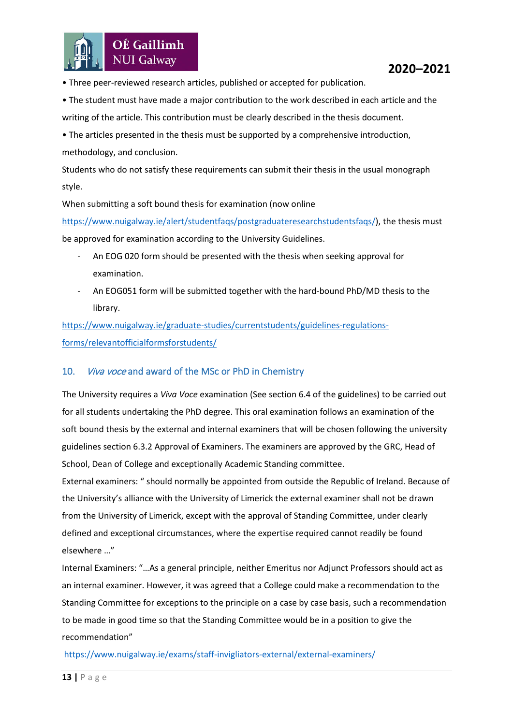

- Three peer-reviewed research articles, published or accepted for publication.
- The student must have made a major contribution to the work described in each article and the writing of the article. This contribution must be clearly described in the thesis document.
- The articles presented in the thesis must be supported by a comprehensive introduction, methodology, and conclusion.
- Students who do not satisfy these requirements can submit their thesis in the usual monograph style.
- When submitting a soft bound thesis for examination (now online

[https://www.nuigalway.ie/alert/studentfaqs/postgraduateresearchstudentsfaqs/\)](https://www.nuigalway.ie/alert/studentfaqs/postgraduateresearchstudentsfaqs/), the thesis must be approved for examination according to the University Guidelines.

- An EOG 020 form should be presented with the thesis when seeking approval for examination.
- An EOG051 form will be submitted together with the hard-bound PhD/MD thesis to the library.

[https://www.nuigalway.ie/graduate-studies/currentstudents/guidelines-regulations](https://www.nuigalway.ie/graduate-studies/currentstudents/guidelines-regulations-forms/relevantofficialformsforstudents/)[forms/relevantofficialformsforstudents/](https://www.nuigalway.ie/graduate-studies/currentstudents/guidelines-regulations-forms/relevantofficialformsforstudents/)

#### <span id="page-12-0"></span>10. *Viva voce* and award of the MSc or PhD in Chemistry

The University requires a *Viva Voce* examination (See section 6.4 of the guidelines) to be carried out for all students undertaking the PhD degree. This oral examination follows an examination of the soft bound thesis by the external and internal examiners that will be chosen following the university guidelines section 6.3.2 Approval of Examiners. The examiners are approved by the GRC, Head of School, Dean of College and exceptionally Academic Standing committee.

External examiners: " should normally be appointed from outside the Republic of Ireland. Because of the University's alliance with the University of Limerick the external examiner shall not be drawn from the University of Limerick, except with the approval of Standing Committee, under clearly defined and exceptional circumstances, where the expertise required cannot readily be found elsewhere …"

Internal Examiners: "…As a general principle, neither Emeritus nor Adjunct Professors should act as an internal examiner. However, it was agreed that a College could make a recommendation to the Standing Committee for exceptions to the principle on a case by case basis, such a recommendation to be made in good time so that the Standing Committee would be in a position to give the recommendation"

#### <https://www.nuigalway.ie/exams/staff-invigliators-external/external-examiners/>